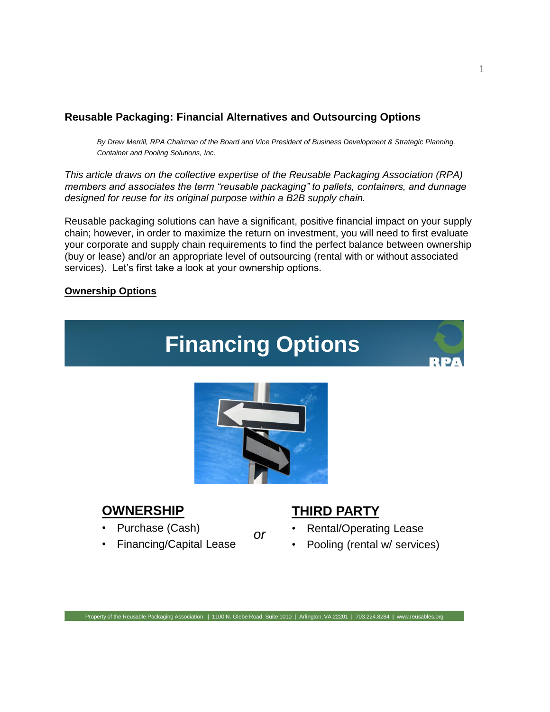### **Reusable Packaging: Financial Alternatives and Outsourcing Options**

*By Drew Merrill, RPA Chairman of the Board and Vice President of Business Development & Strategic Planning, Container and Pooling Solutions, Inc.*

*This article draws on the collective expertise of the Reusable Packaging Association (RPA) members and associates the term "reusable packaging" to pallets, containers, and dunnage designed for reuse for its original purpose within a B2B supply chain.*

Reusable packaging solutions can have a significant, positive financial impact on your supply chain; however, in order to maximize the return on investment, you will need to first evaluate your corporate and supply chain requirements to find the perfect balance between ownership (buy or lease) and/or an appropriate level of outsourcing (rental with or without associated services). Let's first take a look at your ownership options.

### **Ownership Options**



## **OWNERSHIP**

- Purchase (Cash)
- Financing/Capital Lease

### **THIRD PARTY**

- Rental/Operating Lease
- Pooling (rental w/ services)

*or*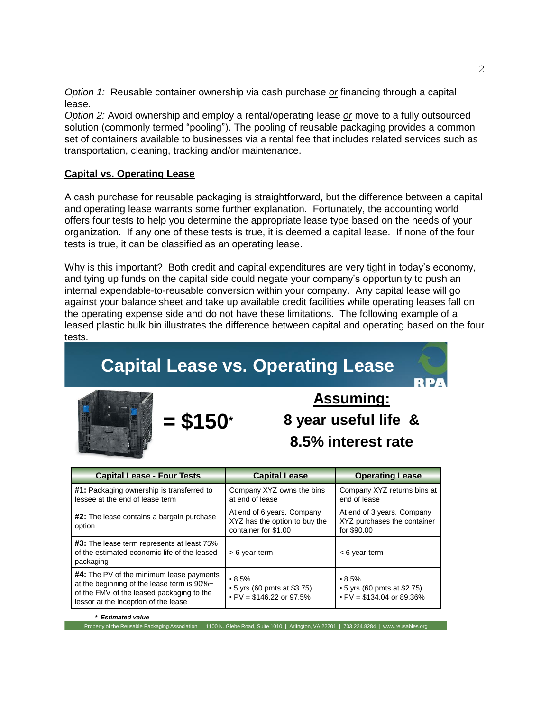*Option 1:* Reusable container ownership via cash purchase *or* financing through a capital lease.

*Option 2:* Avoid ownership and employ a rental/operating lease *or* move to a fully outsourced solution (commonly termed "pooling"). The pooling of reusable packaging provides a common set of containers available to businesses via a rental fee that includes related services such as transportation, cleaning, tracking and/or maintenance.

### **Capital vs. Operating Lease**

A cash purchase for reusable packaging is straightforward, but the difference between a capital and operating lease warrants some further explanation. Fortunately, the accounting world offers four tests to help you determine the appropriate lease type based on the needs of your organization. If any one of these tests is true, it is deemed a capital lease. If none of the four tests is true, it can be classified as an operating lease.

Why is this important? Both credit and capital expenditures are very tight in today's economy, and tying up funds on the capital side could negate your company's opportunity to push an internal expendable-to-reusable conversion within your company. Any capital lease will go against your balance sheet and take up available credit facilities while operating leases fall on the operating expense side and do not have these limitations. The following example of a leased plastic bulk bin illustrates the difference between capital and operating based on the four tests.

# **Capital Lease vs. Operating Lease**



**Assuming: 8 year useful life & 8.5% interest rate**

| <b>Capital Lease - Four Tests</b>                                                                                                                                           | <b>Capital Lease</b>                                                                | <b>Operating Lease</b>                                                                |
|-----------------------------------------------------------------------------------------------------------------------------------------------------------------------------|-------------------------------------------------------------------------------------|---------------------------------------------------------------------------------------|
| #1: Packaging ownership is transferred to<br>lessee at the end of lease term                                                                                                | Company XYZ owns the bins<br>at end of lease                                        | Company XYZ returns bins at<br>end of lease                                           |
| <b>#2:</b> The lease contains a bargain purchase<br>option                                                                                                                  | At end of 6 years, Company<br>XYZ has the option to buy the<br>container for \$1.00 | At end of 3 years, Company<br>XYZ purchases the container<br>for \$90.00              |
| <b>#3:</b> The lease term represents at least 75%<br>of the estimated economic life of the leased<br>packaging                                                              | > 6 year term                                                                       | $<$ 6 year term                                                                       |
| #4: The PV of the minimum lease payments<br>at the beginning of the lease term is 90%+<br>of the FMV of the leased packaging to the<br>lessor at the inception of the lease | $\cdot 8.5\%$<br>$\cdot$ 5 yrs (60 pmts at \$3.75)<br>$PV = $146.22$ or 97.5%       | $\cdot 8.5\%$<br>$\cdot$ 5 yrs (60 pmts at \$2.75)<br>$\cdot$ PV = \$134.04 or 89.36% |

*\* Estimated value*

y of the Reusable Packaging Association | 1100 N. Glebe Road, Suite 1010 | Arlington, VA 22201 | 703.224.8284 | www.reusables.org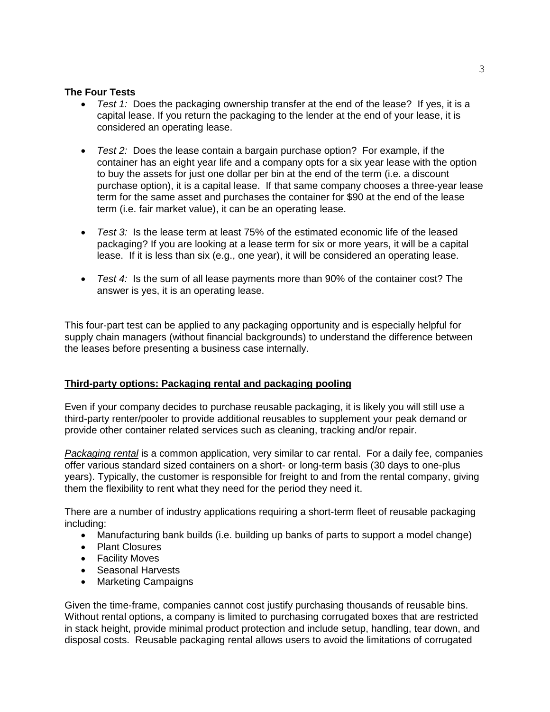### **The Four Tests**

- *Test 1:* Does the packaging ownership transfer at the end of the lease? If yes, it is a capital lease. If you return the packaging to the lender at the end of your lease, it is considered an operating lease.
- *Test 2:* Does the lease contain a bargain purchase option? For example, if the container has an eight year life and a company opts for a six year lease with the option to buy the assets for just one dollar per bin at the end of the term (i.e. a discount purchase option), it is a capital lease. If that same company chooses a three-year lease term for the same asset and purchases the container for \$90 at the end of the lease term (i.e. fair market value), it can be an operating lease.
- *Test 3:* Is the lease term at least 75% of the estimated economic life of the leased packaging? If you are looking at a lease term for six or more years, it will be a capital lease. If it is less than six (e.g., one year), it will be considered an operating lease.
- *Test 4:* Is the sum of all lease payments more than 90% of the container cost? The answer is yes, it is an operating lease.

This four-part test can be applied to any packaging opportunity and is especially helpful for supply chain managers (without financial backgrounds) to understand the difference between the leases before presenting a business case internally.

### **Third-party options: Packaging rental and packaging pooling**

Even if your company decides to purchase reusable packaging, it is likely you will still use a third-party renter/pooler to provide additional reusables to supplement your peak demand or provide other container related services such as cleaning, tracking and/or repair.

*Packaging rental* is a common application, very similar to car rental. For a daily fee, companies offer various standard sized containers on a short- or long-term basis (30 days to one-plus years). Typically, the customer is responsible for freight to and from the rental company, giving them the flexibility to rent what they need for the period they need it.

There are a number of industry applications requiring a short-term fleet of reusable packaging including:

- Manufacturing bank builds (i.e. building up banks of parts to support a model change)
- Plant Closures
- Facility Moves
- Seasonal Harvests
- Marketing Campaigns

Given the time-frame, companies cannot cost justify purchasing thousands of reusable bins. Without rental options, a company is limited to purchasing corrugated boxes that are restricted in stack height, provide minimal product protection and include setup, handling, tear down, and disposal costs. Reusable packaging rental allows users to avoid the limitations of corrugated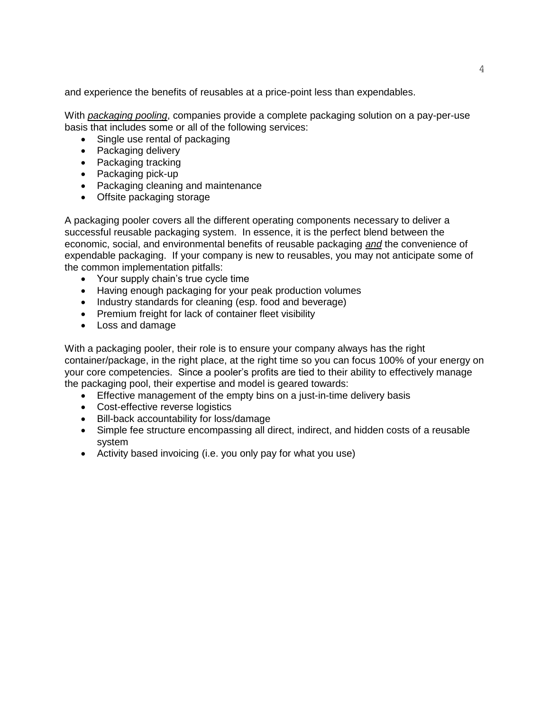and experience the benefits of reusables at a price-point less than expendables.

With *packaging pooling*, companies provide a complete packaging solution on a pay-per-use basis that includes some or all of the following services:

- Single use rental of packaging
- Packaging delivery
- Packaging tracking
- Packaging pick-up
- Packaging cleaning and maintenance
- Offsite packaging storage

A packaging pooler covers all the different operating components necessary to deliver a successful reusable packaging system. In essence, it is the perfect blend between the economic, social, and environmental benefits of reusable packaging *and* the convenience of expendable packaging. If your company is new to reusables, you may not anticipate some of the common implementation pitfalls:

- Your supply chain's true cycle time
- Having enough packaging for your peak production volumes
- Industry standards for cleaning (esp. food and beverage)
- Premium freight for lack of container fleet visibility
- Loss and damage

With a packaging pooler, their role is to ensure your company always has the right container/package, in the right place, at the right time so you can focus 100% of your energy on your core competencies. Since a pooler's profits are tied to their ability to effectively manage the packaging pool, their expertise and model is geared towards:

- Effective management of the empty bins on a just-in-time delivery basis
- Cost-effective reverse logistics
- Bill-back accountability for loss/damage
- Simple fee structure encompassing all direct, indirect, and hidden costs of a reusable system
- Activity based invoicing (i.e. you only pay for what you use)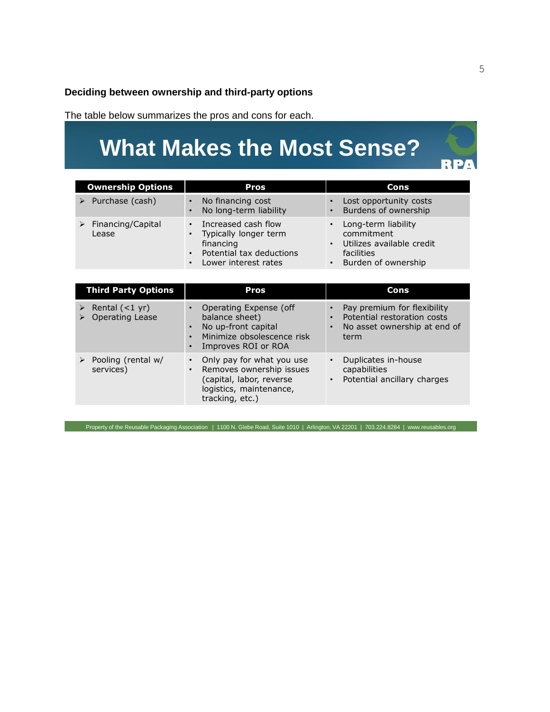**Deciding between ownership and third-party options**

The table below summarizes the pros and cons for each.

# **What Makes the Most Sense?**

| <b>Ownership Options</b>                    | <b>Pros</b>                                                                                                                             | Cons                                                                                                             |
|---------------------------------------------|-----------------------------------------------------------------------------------------------------------------------------------------|------------------------------------------------------------------------------------------------------------------|
| $\triangleright$ Purchase (cash)            | No financing cost<br>$\bullet$<br>No long-term liability                                                                                | Lost opportunity costs<br>Burdens of ownership                                                                   |
| $\triangleright$ Financing/Capital<br>Lease | Increased cash flow<br>$\bullet$<br>Typically longer term<br>financing<br>Potential tax deductions<br>$\bullet$<br>Lower interest rates | Long-term liability<br>$\bullet$<br>commitment<br>Utilizes available credit<br>facilities<br>Burden of ownership |

| <b>Third Party Options</b>                         | <b>Pros</b>                                                                                                                     | <b>Cons</b>                                                                                        |
|----------------------------------------------------|---------------------------------------------------------------------------------------------------------------------------------|----------------------------------------------------------------------------------------------------|
| $\triangleright$ Rental (<1 yr)<br>Operating Lease | Operating Expense (off<br>balance sheet)<br>No up-front capital<br>Minimize obsolescence risk<br>Improves ROI or ROA            | Pay premium for flexibility<br>Potential restoration costs<br>No asset ownership at end of<br>term |
| Pooling (rental w/<br>services)                    | Only pay for what you use<br>Removes ownership issues<br>(capital, labor, reverse<br>logistics, maintenance,<br>tracking, etc.) | Duplicates in-house<br>capabilities<br>Potential ancillary charges                                 |

Property of the Reusable Packaging Association | 1100 N. Glebe Road, Suite 1010 | Arlington, VA 22201 | 703.224.8284 | www.reusables.org

RPA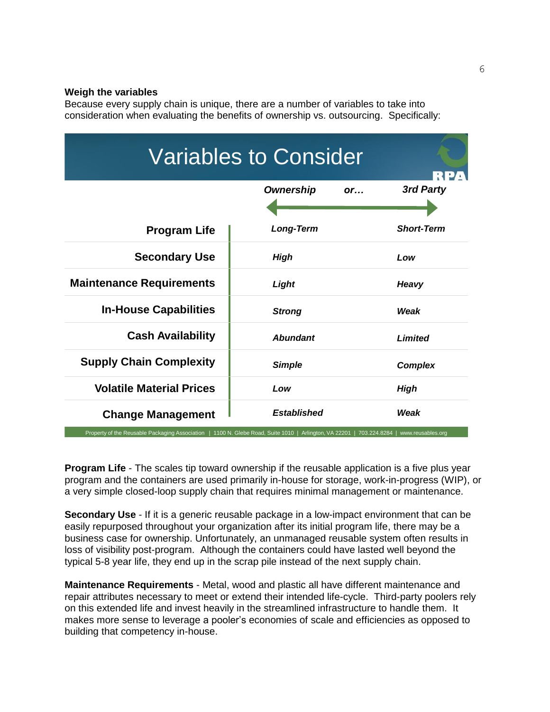#### **Weigh the variables**

Because every supply chain is unique, there are a number of variables to take into consideration when evaluating the benefits of ownership vs. outsourcing. Specifically:

| <b>Variables to Consider</b>    |                        |                   |  |
|---------------------------------|------------------------|-------------------|--|
|                                 | <b>Ownership</b><br>or | 3rd Party         |  |
| <b>Program Life</b>             | <b>Long-Term</b>       | <b>Short-Term</b> |  |
| <b>Secondary Use</b>            | <b>High</b>            | Low               |  |
| <b>Maintenance Requirements</b> | Light                  | Heavy             |  |
| <b>In-House Capabilities</b>    | <b>Strong</b>          | Weak              |  |
| <b>Cash Availability</b>        | <b>Abundant</b>        | <b>Limited</b>    |  |
| <b>Supply Chain Complexity</b>  | <b>Simple</b>          | <b>Complex</b>    |  |
| <b>Volatile Material Prices</b> | Low                    | High              |  |
| <b>Change Management</b>        | <b>Established</b>     | Weak              |  |

**Program Life** - The scales tip toward ownership if the reusable application is a five plus year program and the containers are used primarily in-house for storage, work-in-progress (WIP), or a very simple closed-loop supply chain that requires minimal management or maintenance.

**Secondary Use** - If it is a generic reusable package in a low-impact environment that can be easily repurposed throughout your organization after its initial program life, there may be a business case for ownership. Unfortunately, an unmanaged reusable system often results in loss of visibility post-program. Although the containers could have lasted well beyond the typical 5-8 year life, they end up in the scrap pile instead of the next supply chain.

**Maintenance Requirements** - Metal, wood and plastic all have different maintenance and repair attributes necessary to meet or extend their intended life-cycle. Third-party poolers rely on this extended life and invest heavily in the streamlined infrastructure to handle them. It makes more sense to leverage a pooler's economies of scale and efficiencies as opposed to building that competency in-house.